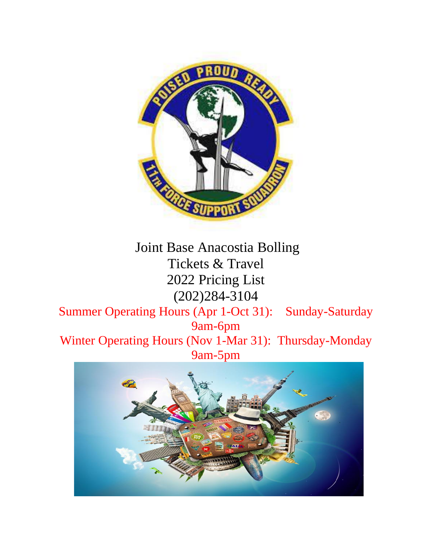

# Joint Base Anacostia Bolling Tickets & Travel 2022 Pricing List (202)284-3104

Summer Operating Hours (Apr 1-Oct 31): Sunday-Saturday 9am-6pm

Winter Operating Hours (Nov 1-Mar 31): Thursday-Monday 9am-5pm

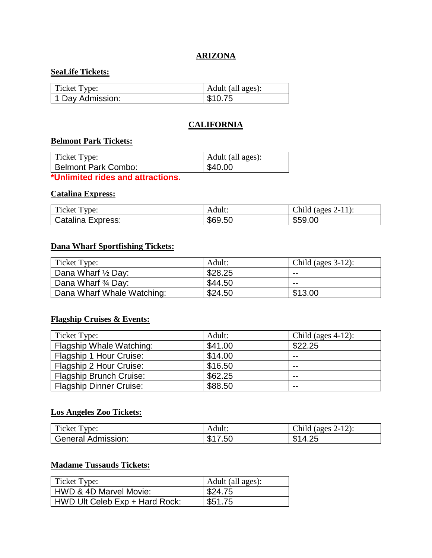## **ARIZONA**

## **SeaLife Tickets:**

| Ticket Type:     | Adult (all ages): |
|------------------|-------------------|
| 1 Day Admission: | \$10.75           |

## **CALIFORNIA**

## **Belmont Park Tickets:**

| Ticket Type:        | Adult (all ages): |
|---------------------|-------------------|
| Belmont Park Combo: | \$40.00           |

**\*Unlimited rides and attractions.**

#### **Catalina Express:**

| Ticket Type:      | Adult:  | (ages $2-11$ ):<br>Child ( |
|-------------------|---------|----------------------------|
| Catalina Express: | \$69.50 | \$59.00                    |

## **Dana Wharf Sportfishing Tickets:**

| Ticket Type:               | Adult:  | Child (ages $3-12$ ): |
|----------------------------|---------|-----------------------|
| Dana Wharf 1/2 Day:        | \$28.25 | --                    |
| Dana Wharf 3/4 Day:        | \$44.50 | --                    |
| Dana Wharf Whale Watching: | \$24.50 | \$13.00               |

# **Flagship Cruises & Events:**

| Ticket Type:                   | Adult:  | Child (ages $4-12$ ): |
|--------------------------------|---------|-----------------------|
| Flagship Whale Watching:       | \$41.00 | \$22.25               |
| Flagship 1 Hour Cruise:        | \$14.00 | $- -$                 |
| Flagship 2 Hour Cruise:        | \$16.50 | $- -$                 |
| <b>Flagship Brunch Cruise:</b> | \$62.25 | $- -$                 |
| <b>Flagship Dinner Cruise:</b> | \$88.50 | $- -$                 |

# **Los Angeles Zoo Tickets:**

| $\mathbf{m}$<br>vpe:<br>Ticket T | Adult:             | Child<br>$-12$<br>ages<br>۰ ⊥ ∠ ۱۰   |
|----------------------------------|--------------------|--------------------------------------|
| General<br>Admission:            | ጡ ብ<br>.50<br>- 11 | つに<br>ጡ ብ<br>$\Lambda$<br>ъĐ<br>~∟די |

# **Madame Tussauds Tickets:**

| Ticket Type:                   | Adult (all ages): |
|--------------------------------|-------------------|
| HWD & 4D Marvel Movie:         | \$24.75           |
| HWD Ult Celeb Exp + Hard Rock: | \$51.75           |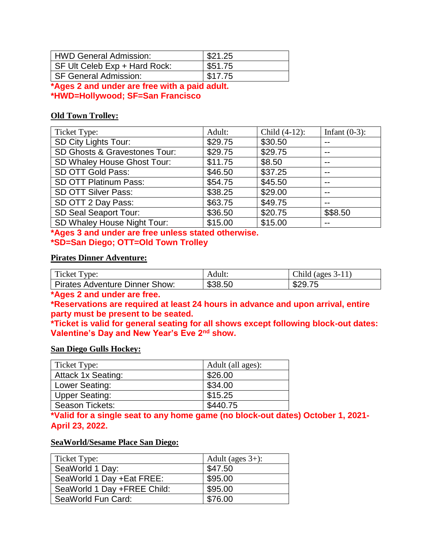| HWD General Admission:        | \$21.25 |
|-------------------------------|---------|
| SF Ult Celeb Exp + Hard Rock: | \$51.75 |
| l SF General Admission:       | \$17.75 |

**\*Ages 2 and under are free with a paid adult. \*HWD=Hollywood; SF=San Francisco**

## **Old Town Trolley:**

| Ticket Type:                  | Adult:  | Child (4-12): | Infant $(0-3)$ : |
|-------------------------------|---------|---------------|------------------|
| <b>SD City Lights Tour:</b>   | \$29.75 | \$30.50       | --               |
| SD Ghosts & Gravestones Tour: | \$29.75 | \$29.75       | --               |
| SD Whaley House Ghost Tour:   | \$11.75 | \$8.50        | --               |
| SD OTT Gold Pass:             | \$46.50 | \$37.25       | $- -$            |
| SD OTT Platinum Pass:         | \$54.75 | \$45.50       | --               |
| <b>SD OTT Silver Pass:</b>    | \$38.25 | \$29.00       | $- -$            |
| SD OTT 2 Day Pass:            | \$63.75 | \$49.75       | $- -$            |
| <b>SD Seal Seaport Tour:</b>  | \$36.50 | \$20.75       | \$\$8.50         |
| SD Whaley House Night Tour:   | \$15.00 | \$15.00       | --               |

**\*Ages 3 and under are free unless stated otherwise. \*SD=San Diego; OTT=Old Town Trolley**

## **Pirates Dinner Adventure:**

| Ticket Type:                   | Adult:  | Child (ages $3-11$ ) |
|--------------------------------|---------|----------------------|
| Pirates Adventure Dinner Show: | \$38.50 | \$29.75              |

**\*Ages 2 and under are free.**

**\*Reservations are required at least 24 hours in advance and upon arrival, entire party must be present to be seated.**

**\*Ticket is valid for general seating for all shows except following block-out dates: Valentine's Day and New Year's Eve 2nd show.**

#### **San Diego Gulls Hockey:**

| Ticket Type:              | Adult (all ages): |
|---------------------------|-------------------|
| <b>Attack 1x Seating:</b> | \$26.00           |
| Lower Seating:            | \$34.00           |
| Upper Seating:            | \$15.25           |
| Season Tickets:           | \$440.75          |

**\*Valid for a single seat to any home game (no block-out dates) October 1, 2021- April 23, 2022.**

#### **SeaWorld/Sesame Place San Diego:**

| Ticket Type:                | Adult (ages $3+$ ): |
|-----------------------------|---------------------|
| SeaWorld 1 Day:             | \$47.50             |
| SeaWorld 1 Day +Eat FREE:   | \$95.00             |
| SeaWorld 1 Day +FREE Child: | \$95.00             |
| SeaWorld Fun Card:          | \$76.00             |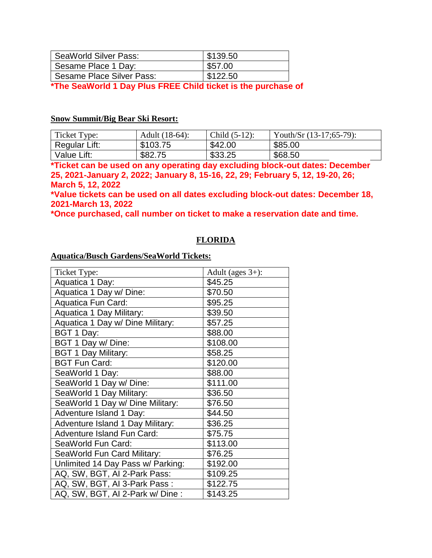| SeaWorld Silver Pass:     | \$139.50 |
|---------------------------|----------|
| Sesame Place 1 Day:       | \$57.00  |
| Sesame Place Silver Pass: | \$122.50 |
|                           |          |

**\*The SeaWorld 1 Day Plus FREE Child ticket is the purchase of** 

## **Snow Summit/Big Bear Ski Resort:**

| Ticket Type:  | Adult (18-64): | Child $(5-12)$ : | Youth/Sr $(13-17;65-79)$ : |
|---------------|----------------|------------------|----------------------------|
| Regular Lift: | \$103.75       | \$42.00          | \$85.00                    |
| Value Lift:   | \$82.75        | \$33.25          | \$68.50                    |

**\*Ticket can be used on any operating day excluding block-out dates: December 25, 2021-January 2, 2022; January 8, 15-16, 22, 29; February 5, 12, 19-20, 26; March 5, 12, 2022**

**\*Value tickets can be used on all dates excluding block-out dates: December 18, 2021-March 13, 2022**

**\*Once purchased, call number on ticket to make a reservation date and time.**

## **FLORIDA**

#### **Aquatica/Busch Gardens/SeaWorld Tickets:**

| Ticket Type:                            | Adult (ages $3+$ ): |
|-----------------------------------------|---------------------|
| Aquatica 1 Day:                         | \$45.25             |
| Aquatica 1 Day w/ Dine:                 | \$70.50             |
| Aquatica Fun Card:                      | \$95.25             |
| Aquatica 1 Day Military:                | \$39.50             |
| Aquatica 1 Day w/ Dine Military:        | \$57.25             |
| BGT 1 Day:                              | \$88.00             |
| BGT 1 Day w/ Dine:                      | \$108.00            |
| <b>BGT 1 Day Military:</b>              | \$58.25             |
| <b>BGT Fun Card:</b>                    | \$120.00            |
| SeaWorld 1 Day:                         | \$88.00             |
| SeaWorld 1 Day w/ Dine:                 | \$111.00            |
| SeaWorld 1 Day Military:                | \$36.50             |
| SeaWorld 1 Day w/ Dine Military:        | \$76.50             |
| Adventure Island 1 Day:                 | \$44.50             |
| <b>Adventure Island 1 Day Military:</b> | \$36.25             |
| <b>Adventure Island Fun Card:</b>       | \$75.75             |
| SeaWorld Fun Card:                      | \$113.00            |
| SeaWorld Fun Card Military:             | \$76.25             |
| Unlimited 14 Day Pass w/ Parking:       | \$192.00            |
| AQ, SW, BGT, AI 2-Park Pass:            | \$109.25            |
| AQ, SW, BGT, AI 3-Park Pass:            | \$122.75            |
| AQ, SW, BGT, AI 2-Park w/ Dine:         | \$143.25            |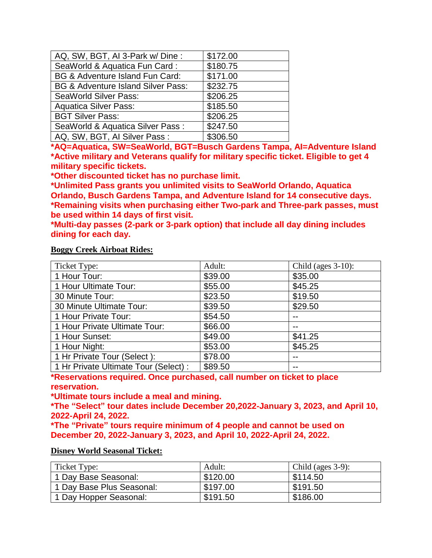| AQ, SW, BGT, AI 3-Park w/ Dine :              | \$172.00 |
|-----------------------------------------------|----------|
| SeaWorld & Aquatica Fun Card:                 | \$180.75 |
| BG & Adventure Island Fun Card:               | \$171.00 |
| <b>BG &amp; Adventure Island Silver Pass:</b> | \$232.75 |
| <b>SeaWorld Silver Pass:</b>                  | \$206.25 |
| <b>Aquatica Silver Pass:</b>                  | \$185.50 |
| <b>BGT Silver Pass:</b>                       | \$206.25 |
| SeaWorld & Aquatica Silver Pass:              | \$247.50 |
| AQ, SW, BGT, AI Silver Pass:                  | \$306.50 |

**\*AQ=Aquatica, SW=SeaWorld, BGT=Busch Gardens Tampa, AI=Adventure Island \*Active military and Veterans qualify for military specific ticket. Eligible to get 4 military specific tickets.**

**\*Other discounted ticket has no purchase limit.**

**\*Unlimited Pass grants you unlimited visits to SeaWorld Orlando, Aquatica Orlando, Busch Gardens Tampa, and Adventure Island for 14 consecutive days. \*Remaining visits when purchasing either Two-park and Three-park passes, must be used within 14 days of first visit.**

**\*Multi-day passes (2-park or 3-park option) that include all day dining includes dining for each day.**

#### **Boggy Creek Airboat Rides:**

| Ticket Type:                          | Adult:  | Child (ages $3-10$ ): |
|---------------------------------------|---------|-----------------------|
| 1 Hour Tour:                          | \$39.00 | \$35.00               |
| 1 Hour Ultimate Tour:                 | \$55.00 | \$45.25               |
| 30 Minute Tour:                       | \$23.50 | \$19.50               |
| 30 Minute Ultimate Tour:              | \$39.50 | \$29.50               |
| 1 Hour Private Tour:                  | \$54.50 |                       |
| 1 Hour Private Ultimate Tour:         | \$66.00 |                       |
| 1 Hour Sunset:                        | \$49.00 | \$41.25               |
| 1 Hour Night:                         | \$53.00 | \$45.25               |
| 1 Hr Private Tour (Select):           | \$78.00 |                       |
| 1 Hr Private Ultimate Tour (Select) : | \$89.50 |                       |

**\*Reservations required. Once purchased, call number on ticket to place reservation.**

**\*Ultimate tours include a meal and mining.**

**\*The "Select" tour dates include December 20,2022-January 3, 2023, and April 10, 2022-April 24, 2022.**

**\*The "Private" tours require minimum of 4 people and cannot be used on December 20, 2022-January 3, 2023, and April 10, 2022-April 24, 2022.**

#### **Disney World Seasonal Ticket:**

| Ticket Type:              | Adult:   | Child (ages $3-9$ ): |
|---------------------------|----------|----------------------|
| 1 Day Base Seasonal:      | \$120.00 | \$114.50             |
| 1 Day Base Plus Seasonal: | \$197.00 | \$191.50             |
| 1 Day Hopper Seasonal:    | \$191.50 | \$186.00             |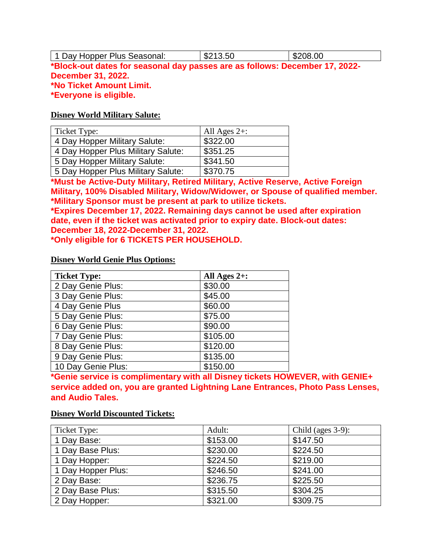1 Day Hopper Plus Seasonal:  $\vert$ \$213.50  $\vert$ \$208.00 **\*Block-out dates for seasonal day passes are as follows: December 17, 2022- December 31, 2022. \*No Ticket Amount Limit. \*Everyone is eligible.**

#### **Disney World Military Salute:**

| Ticket Type:                       | All Ages $2+$ : |
|------------------------------------|-----------------|
| 4 Day Hopper Military Salute:      | \$322.00        |
| 4 Day Hopper Plus Military Salute: | \$351.25        |
| 5 Day Hopper Military Salute:      | \$341.50        |
| 5 Day Hopper Plus Military Salute: | \$370.75        |

**\*Must be Active-Duty Military, Retired Military, Active Reserve, Active Foreign Military, 100% Disabled Military, Widow/Widower, or Spouse of qualified member. \*Military Sponsor must be present at park to utilize tickets.**

**\*Expires December 17, 2022. Remaining days cannot be used after expiration date, even if the ticket was activated prior to expiry date. Block-out dates: December 18, 2022-December 31, 2022.**

**\*Only eligible for 6 TICKETS PER HOUSEHOLD.**

#### **Disney World Genie Plus Options:**

| <b>Ticket Type:</b> | All Ages $2+$ : |
|---------------------|-----------------|
| 2 Day Genie Plus:   | \$30.00         |
| 3 Day Genie Plus:   | \$45.00         |
| 4 Day Genie Plus    | \$60.00         |
| 5 Day Genie Plus:   | \$75.00         |
| 6 Day Genie Plus:   | \$90.00         |
| 7 Day Genie Plus:   | \$105.00        |
| 8 Day Genie Plus:   | \$120.00        |
| 9 Day Genie Plus:   | \$135.00        |
| 10 Day Genie Plus:  | \$150.00        |

**\*Genie service is complimentary with all Disney tickets HOWEVER, with GENIE+ service added on, you are granted Lightning Lane Entrances, Photo Pass Lenses, and Audio Tales.**

#### **Disney World Discounted Tickets:**

| Ticket Type:       | Adult:   | Child (ages $3-9$ ): |
|--------------------|----------|----------------------|
| 1 Day Base:        | \$153.00 | \$147.50             |
| 1 Day Base Plus:   | \$230.00 | \$224.50             |
| 1 Day Hopper:      | \$224.50 | \$219.00             |
| 1 Day Hopper Plus: | \$246.50 | \$241.00             |
| 2 Day Base:        | \$236.75 | \$225.50             |
| 2 Day Base Plus:   | \$315.50 | \$304.25             |
| 2 Day Hopper:      | \$321.00 | \$309.75             |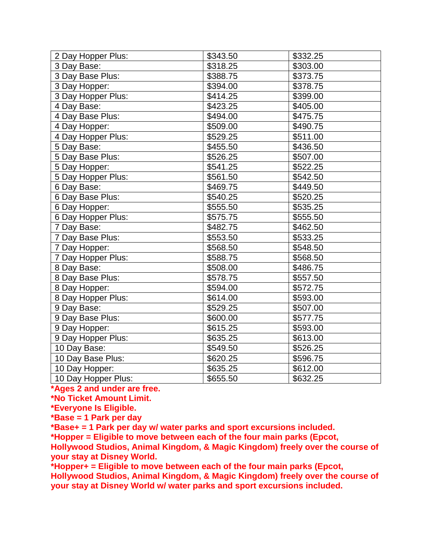| 2 Day Hopper Plus:  | \$343.50 | \$332.25 |
|---------------------|----------|----------|
| 3 Day Base:         | \$318.25 | \$303.00 |
| 3 Day Base Plus:    | \$388.75 | \$373.75 |
| 3 Day Hopper:       | \$394.00 | \$378.75 |
| 3 Day Hopper Plus:  | \$414.25 | \$399.00 |
| 4 Day Base:         | \$423.25 | \$405.00 |
| 4 Day Base Plus:    | \$494.00 | \$475.75 |
| 4 Day Hopper:       | \$509.00 | \$490.75 |
| 4 Day Hopper Plus:  | \$529.25 | \$511.00 |
| 5 Day Base:         | \$455.50 | \$436.50 |
| 5 Day Base Plus:    | \$526.25 | \$507.00 |
| 5 Day Hopper:       | \$541.25 | \$522.25 |
| 5 Day Hopper Plus:  | \$561.50 | \$542.50 |
| 6 Day Base:         | \$469.75 | \$449.50 |
| 6 Day Base Plus:    | \$540.25 | \$520.25 |
| 6 Day Hopper:       | \$555.50 | \$535.25 |
| 6 Day Hopper Plus:  | \$575.75 | \$555.50 |
| 7 Day Base:         | \$482.75 | \$462.50 |
| 7 Day Base Plus:    | \$553.50 | \$533.25 |
| 7 Day Hopper:       | \$568.50 | \$548.50 |
| 7 Day Hopper Plus:  | \$588.75 | \$568.50 |
| 8 Day Base:         | \$508.00 | \$486.75 |
| 8 Day Base Plus:    | \$578.75 | \$557.50 |
| 8 Day Hopper:       | \$594.00 | \$572.75 |
| 8 Day Hopper Plus:  | \$614.00 | \$593.00 |
| 9 Day Base:         | \$529.25 | \$507.00 |
| 9 Day Base Plus:    | \$600.00 | \$577.75 |
| 9 Day Hopper:       | \$615.25 | \$593.00 |
| 9 Day Hopper Plus:  | \$635.25 | \$613.00 |
| 10 Day Base:        | \$549.50 | \$526.25 |
| 10 Day Base Plus:   | \$620.25 | \$596.75 |
| 10 Day Hopper:      | \$635.25 | \$612.00 |
| 10 Day Hopper Plus: | \$655.50 | \$632.25 |

**\*Ages 2 and under are free.**

**\*No Ticket Amount Limit.**

**\*Everyone Is Eligible.**

**\*Base = 1 Park per day**

**\*Base+ = 1 Park per day w/ water parks and sport excursions included.**

**\*Hopper = Eligible to move between each of the four main parks (Epcot,** 

**Hollywood Studios, Animal Kingdom, & Magic Kingdom) freely over the course of your stay at Disney World.**

**\*Hopper+ = Eligible to move between each of the four main parks (Epcot, Hollywood Studios, Animal Kingdom, & Magic Kingdom) freely over the course of your stay at Disney World w/ water parks and sport excursions included.**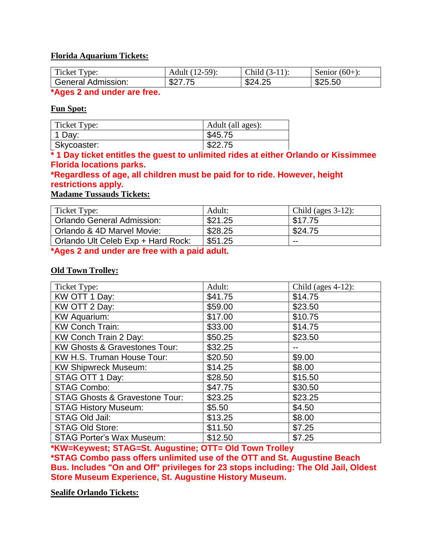## **Florida Aquarium Tickets:**

| $\mathbf{r}$<br>icket T<br>vpe: | $2-59$ :<br>Adult (T | Child<br>$\sim$    | Senior<br>$(60 + i)$ |
|---------------------------------|----------------------|--------------------|----------------------|
| General Admission:              | フド<br>. մա∠          | ፍን⊿<br>ے ت<br>T.LJ | \$25.50              |

**\*Ages 2 and under are free.**

#### **Fun Spot:**

| Ticket Type: | Adult (all ages): |
|--------------|-------------------|
| 1 Day:       | \$45.75           |
| Skycoaster:  | \$22.75           |

**\* 1 Day ticket entitles the guest to unlimited rides at either Orlando or Kissimmee Florida locations parks.**

## **\*Regardless of age, all children must be paid for to ride. However, height restrictions apply.**

**Madame Tussauds Tickets:**

| Ticket Type:                       | Adult:  | Child (ages $3-12$ ): |
|------------------------------------|---------|-----------------------|
| Orlando General Admission:         | \$21.25 | \$17.75               |
| Orlando & 4D Marvel Movie:         | \$28.25 | \$24.75               |
| Orlando Ult Celeb Exp + Hard Rock: | \$51.25 | $- -$                 |

**\*Ages 2 and under are free with a paid adult.**

## **Old Town Trolley:**

| Ticket Type:                              | Adult:  | Child (ages $4-12$ ): |
|-------------------------------------------|---------|-----------------------|
| KW OTT 1 Day:                             | \$41.75 | \$14.75               |
| KW OTT 2 Day:                             | \$59.00 | \$23.50               |
| <b>KW Aquarium:</b>                       | \$17.00 | \$10.75               |
| <b>KW Conch Train:</b>                    | \$33.00 | \$14.75               |
| KW Conch Train 2 Day:                     | \$50.25 | \$23.50               |
| <b>KW Ghosts &amp; Gravestones Tour:</b>  | \$32.25 |                       |
| KW H.S. Truman House Tour:                | \$20.50 | \$9.00                |
| <b>KW Shipwreck Museum:</b>               | \$14.25 | \$8.00                |
| STAG OTT 1 Day:                           | \$28.50 | \$15.50               |
| <b>STAG Combo:</b>                        | \$47.75 | \$30.50               |
| <b>STAG Ghosts &amp; Gravestone Tour:</b> | \$23.25 | \$23.25               |
| <b>STAG History Museum:</b>               | \$5.50  | \$4.50                |
| STAG Old Jail:                            | \$13.25 | \$8.00                |
| <b>STAG Old Store:</b>                    | \$11.50 | \$7.25                |
| <b>STAG Porter's Wax Museum:</b>          | \$12.50 | \$7.25                |

**\*KW=Keywest; STAG=St. Augustine; OTT= Old Town Trolley**

**\*STAG Combo pass offers unlimited use of the OTT and St. Augustine Beach Bus. Includes "On and Off" privileges for 23 stops including: The Old Jail, Oldest Store Museum Experience, St. Augustine History Museum.**

**Sealife Orlando Tickets:**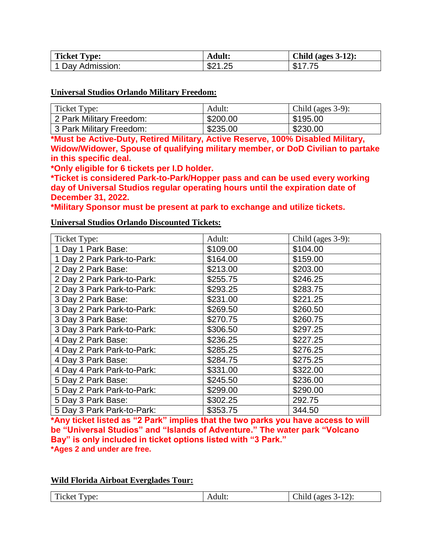| <b>Ticket Type:</b> | Adult:  | <b>Child (ages 3-12):</b> |
|---------------------|---------|---------------------------|
| 1 Day Admission:    | \$21.25 | フ フト<br>\$1               |

#### **Universal Studios Orlando Military Freedom:**

| Ticket Type:                          | Adult:   | Child (ages $3-9$ ): |
|---------------------------------------|----------|----------------------|
| <sup>1</sup> 2 Park Military Freedom: | \$200.00 | \$195.00             |
| 3 Park Military Freedom:              | \$235.00 | \$230.00             |

**\*Must be Active-Duty, Retired Military, Active Reserve, 100% Disabled Military, Widow/Widower, Spouse of qualifying military member, or DoD Civilian to partake in this specific deal.**

**\*Only eligible for 6 tickets per I.D holder.**

**\*Ticket is considered Park-to-Park/Hopper pass and can be used every working day of Universal Studios regular operating hours until the expiration date of December 31, 2022.**

**\*Military Sponsor must be present at park to exchange and utilize tickets.**

## **Universal Studios Orlando Discounted Tickets:**

| Ticket Type:               | Adult:   | Child (ages $3-9$ ): |
|----------------------------|----------|----------------------|
| 1 Day 1 Park Base:         | \$109.00 | \$104.00             |
| 1 Day 2 Park Park-to-Park: | \$164.00 | \$159.00             |
| 2 Day 2 Park Base:         | \$213.00 | \$203.00             |
| 2 Day 2 Park Park-to-Park: | \$255.75 | \$246.25             |
| 2 Day 3 Park Park-to-Park: | \$293.25 | \$283.75             |
| 3 Day 2 Park Base:         | \$231.00 | \$221.25             |
| 3 Day 2 Park Park-to-Park: | \$269.50 | \$260.50             |
| 3 Day 3 Park Base:         | \$270.75 | \$260.75             |
| 3 Day 3 Park Park-to-Park: | \$306.50 | \$297.25             |
| 4 Day 2 Park Base:         | \$236.25 | \$227.25             |
| 4 Day 2 Park Park-to-Park: | \$285.25 | \$276.25             |
| 4 Day 3 Park Base:         | \$284.75 | \$275.25             |
| 4 Day 4 Park Park-to-Park: | \$331.00 | \$322.00             |
| 5 Day 2 Park Base:         | \$245.50 | \$236.00             |
| 5 Day 2 Park Park-to-Park: | \$299.00 | \$290.00             |
| 5 Day 3 Park Base:         | \$302.25 | 292.75               |
| 5 Day 3 Park Park-to-Park: | \$353.75 | 344.50               |

**\*Any ticket listed as "2 Park" implies that the two parks you have access to will be "Universal Studios" and "Islands of Adventure." The water park "Volcano Bay" is only included in ticket options listed with "3 Park." \*Ages 2 and under are free.**

#### **Wild Florida Airboat Everglades Tour:**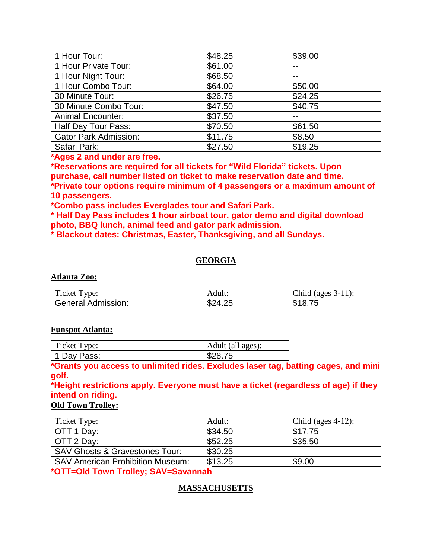| 1 Hour Tour:                 | \$48.25 | \$39.00 |
|------------------------------|---------|---------|
| 1 Hour Private Tour:         | \$61.00 |         |
| 1 Hour Night Tour:           | \$68.50 |         |
| 1 Hour Combo Tour:           | \$64.00 | \$50.00 |
| 30 Minute Tour:              | \$26.75 | \$24.25 |
| 30 Minute Combo Tour:        | \$47.50 | \$40.75 |
| <b>Animal Encounter:</b>     | \$37.50 |         |
| Half Day Tour Pass:          | \$70.50 | \$61.50 |
| <b>Gator Park Admission:</b> | \$11.75 | \$8.50  |
| Safari Park:                 | \$27.50 | \$19.25 |

**\*Ages 2 and under are free.**

**\*Reservations are required for all tickets for "Wild Florida" tickets. Upon purchase, call number listed on ticket to make reservation date and time. \*Private tour options require minimum of 4 passengers or a maximum amount of 10 passengers.**

**\*Combo pass includes Everglades tour and Safari Park.**

**\* Half Day Pass includes 1 hour airboat tour, gator demo and digital download photo, BBQ lunch, animal feed and gator park admission.**

**\* Blackout dates: Christmas, Easter, Thanksgiving, and all Sundays.**

# **GEORGIA**

#### **Atlanta Zoo:**

| m.<br>Ticket Type:              | Adult:  | Child (ages $3-11$ ): |
|---------------------------------|---------|-----------------------|
| <sup>1</sup> General Admission: | \$24.25 | .8.75<br>D            |

#### **Funspot Atlanta:**

| Ticket Type: | Adult (all ages): |
|--------------|-------------------|
| 1 Day Pass:  | \$28.75           |

**\*Grants you access to unlimited rides. Excludes laser tag, batting cages, and mini golf.**

## **\*Height restrictions apply. Everyone must have a ticket (regardless of age) if they intend on riding.**

## **Old Town Trolley:**

| Ticket Type:                              | Adult:  | Child (ages $4-12$ ): |
|-------------------------------------------|---------|-----------------------|
| OTT 1 Day:                                | \$34.50 | \$17.75               |
| OTT 2 Day:                                | \$52.25 | \$35.50               |
| <b>SAV Ghosts &amp; Gravestones Tour:</b> | \$30.25 | --                    |
| <b>SAV American Prohibition Museum:</b>   | \$13.25 | \$9.00                |

**\*OTT=Old Town Trolley; SAV=Savannah** 

# **MASSACHUSETTS**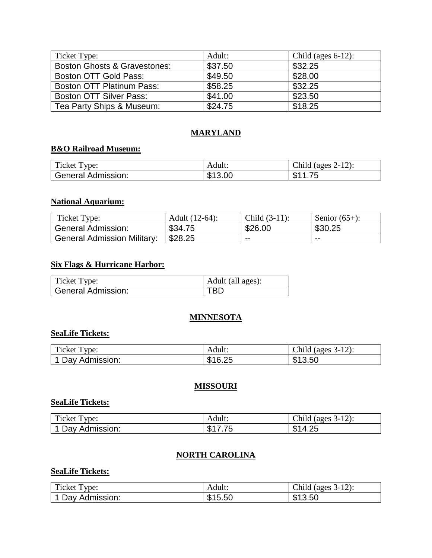| Ticket Type:                            | Adult:  | Child (ages $6-12$ ): |
|-----------------------------------------|---------|-----------------------|
| <b>Boston Ghosts &amp; Gravestones:</b> | \$37.50 | \$32.25               |
| Boston OTT Gold Pass:                   | \$49.50 | \$28.00               |
| <b>Boston OTT Platinum Pass:</b>        | \$58.25 | \$32.25               |
| <b>Boston OTT Silver Pass:</b>          | \$41.00 | \$23.50               |
| Tea Party Ships & Museum:               | \$24.75 | \$18.25               |

# **MARYLAND**

# **B&O Railroad Museum:**

| Ticket Type:              | Adult:  | (ages $2-12$ ):<br>Child |
|---------------------------|---------|--------------------------|
| <b>General Admission:</b> | \$13.00 | フ斥<br><b>C</b> 11<br>ง   |

## **National Aquarium:**

| Ticket Type:                       | Adult (12-64):        | Child $(3-11)$ : | Senior $(65+)$ : |
|------------------------------------|-----------------------|------------------|------------------|
| General Admission:                 | \$34.75               | \$26.00          | \$30.25          |
| <b>General Admission Military:</b> | $\frac{1}{2}$ \$28.25 | --               | $- -$            |

## **Six Flags & Hurricane Harbor:**

| Ticket Type:       | Adult (all ages): |
|--------------------|-------------------|
| General Admission: |                   |

## **MINNESOTA**

## **SeaLife Tickets:**

| Ticket T<br>vpe: | Adult:  | Child<br>$\frac{1}{2}$ (ages 3-12): |
|------------------|---------|-------------------------------------|
| 1 Day Admission: | \$16.25 | \$13.50                             |

## **MISSOURI**

## **SeaLife Tickets:**

| m.<br>Ticket T<br>vpe: | Adult.                       | (ages $3-12$ ):<br>Child     |
|------------------------|------------------------------|------------------------------|
| Day Admission:         | <u>ጡ ብ</u><br>. ക<br>ں ، ، ر | つへ<br>ጡ ላ<br>14<br>۰D<br>−…… |

## **NORTH CAROLINA**

## **SeaLife Tickets:**

| $\mathbf{m}$<br>vpe:<br>Ticket T | Adult:                       | $3-12$ :<br>Child<br>(ages) |
|----------------------------------|------------------------------|-----------------------------|
| Day Admission:                   | <b>C</b> 1 F<br>15.50<br>ക ' | \$13.50                     |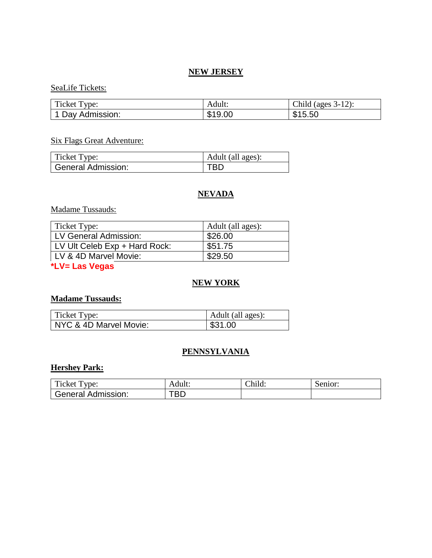## **NEW JERSEY**

## SeaLife Tickets:

| Ticket Type:   | Adult:  | Child (ages $3-12$ ): |
|----------------|---------|-----------------------|
| Day Admission: | \$19.00 | \$15.50               |

# Six Flags Great Adventure:

| Ticket Type:       | Adult (all ages): |
|--------------------|-------------------|
| General Admission: |                   |

## **NEVADA**

## Madame Tussauds:

| Ticket Type:                  | Adult (all ages): |
|-------------------------------|-------------------|
| LV General Admission:         | \$26.00           |
| LV Ult Celeb Exp + Hard Rock: | \$51.75           |
| LV & 4D Marvel Movie:         | \$29.50           |

## **\*LV= Las Vegas**

## **NEW YORK**

## **Madame Tussauds:**

| Ticket Type:           | Adult (all ages): |
|------------------------|-------------------|
| NYC & 4D Marvel Movie: | \$31.00           |

# **PENNSYLVANIA**

## **Hershey Park:**

| $\mathbf{m}$<br>vpe:<br>Ticket T | Adult.     | $\Delta$ hild: | Senior: |
|----------------------------------|------------|----------------|---------|
| Admission:<br>General            | 70 N<br>DL |                |         |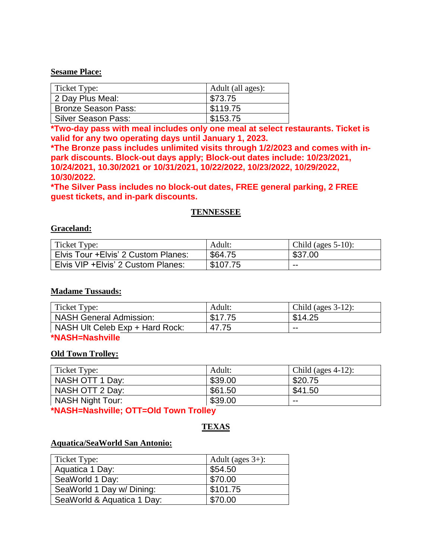#### **Sesame Place:**

| Ticket Type:               | Adult (all ages): |
|----------------------------|-------------------|
| 2 Day Plus Meal:           | \$73.75           |
| <b>Bronze Season Pass:</b> | \$119.75          |
| Silver Season Pass:        | \$153.75          |

**\*Two-day pass with meal includes only one meal at select restaurants. Ticket is valid for any two operating days until January 1, 2023.**

**\*The Bronze pass includes unlimited visits through 1/2/2023 and comes with inpark discounts. Block-out days apply; Block-out dates include: 10/23/2021, 10/24/2021, 10.30/2021 or 10/31/2021, 10/22/2022, 10/23/2022, 10/29/2022, 10/30/2022.**

**\*The Silver Pass includes no block-out dates, FREE general parking, 2 FREE guest tickets, and in-park discounts.**

#### **TENNESSEE**

#### **Graceland:**

| Ticket Type:                         | Adult:   | Child (ages $5-10$ ): |
|--------------------------------------|----------|-----------------------|
| Elvis Tour + Elvis' 2 Custom Planes: | \$64.75  | \$37.00               |
| Elvis VIP + Elvis' 2 Custom Planes:  | \$107.75 | $- -$                 |

#### **Madame Tussauds:**

| Ticket Type:                    | Adult:  | Child (ages $3-12$ ): |
|---------------------------------|---------|-----------------------|
| NASH General Admission:         | \$17.75 | \$14.25               |
| NASH Ult Celeb Exp + Hard Rock: | 47.75   | $- -$                 |
| ANTA ATTENTATION ATTO           |         |                       |

#### **\*NASH=Nashville**

#### **Old Town Trolley:**

| Ticket Type:            | Adult:  | Child (ages $4-12$ ): |
|-------------------------|---------|-----------------------|
| NASH OTT 1 Day:         | \$39.00 | \$20.75               |
| NASH OTT 2 Day:         | \$61.50 | \$41.50               |
| <b>NASH Night Tour:</b> | \$39.00 | $- -$                 |

**\*NASH=Nashville; OTT=Old Town Trolley**

# **TEXAS**

#### **Aquatica/SeaWorld San Antonio:**

| Ticket Type:               | Adult (ages $3+$ ): |
|----------------------------|---------------------|
| Aquatica 1 Day:            | \$54.50             |
| SeaWorld 1 Day:            | \$70.00             |
| SeaWorld 1 Day w/ Dining:  | \$101.75            |
| SeaWorld & Aquatica 1 Day: | \$70.00             |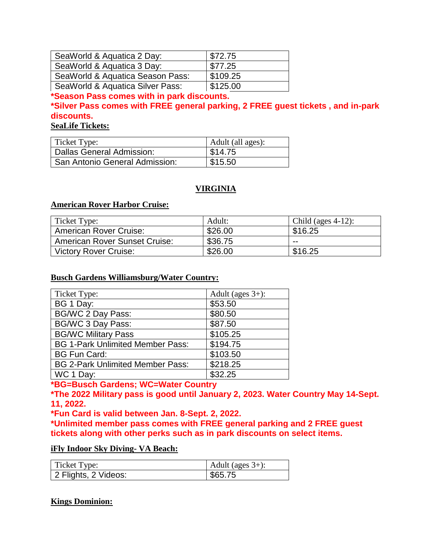| SeaWorld & Aquatica 2 Day:       | \$72.75  |
|----------------------------------|----------|
| SeaWorld & Aquatica 3 Day:       | \$77.25  |
| SeaWorld & Aquatica Season Pass: | \$109.25 |
| SeaWorld & Aquatica Silver Pass: | \$125.00 |

**\*Season Pass comes with in park discounts.**

**\*Silver Pass comes with FREE general parking, 2 FREE guest tickets , and in-park discounts.**

**SeaLife Tickets:**

| Ticket Type:                   | $\overline{\phantom{a}}$ Adult (all ages): |
|--------------------------------|--------------------------------------------|
| Dallas General Admission:      | \$14.75                                    |
| San Antonio General Admission: | \$15.50                                    |

# **VIRGINIA**

## **American Rover Harbor Cruise:**

| Ticket Type:                         | Adult:  | Child (ages $4-12$ ): |
|--------------------------------------|---------|-----------------------|
| <b>American Rover Cruise:</b>        | \$26.00 | \$16.25               |
| <b>American Rover Sunset Cruise:</b> | \$36.75 | --                    |
| Victory Rover Cruise:                | \$26.00 | \$16.25               |

#### **Busch Gardens Williamsburg/Water Country:**

| Ticket Type:                            | Adult (ages $3+$ ): |
|-----------------------------------------|---------------------|
| BG 1 Day:                               | \$53.50             |
| <b>BG/WC 2 Day Pass:</b>                | \$80.50             |
| <b>BG/WC 3 Day Pass:</b>                | \$87.50             |
| <b>BG/WC Military Pass</b>              | \$105.25            |
| <b>BG 1-Park Unlimited Member Pass:</b> | \$194.75            |
| <b>BG Fun Card:</b>                     | \$103.50            |
| <b>BG 2-Park Unlimited Member Pass:</b> | \$218.25            |
| WC 1 Day:                               | \$32.25             |

# **\*BG=Busch Gardens; WC=Water Country**

**\*The 2022 Military pass is good until January 2, 2023. Water Country May 14-Sept. 11, 2022.**

**\*Fun Card is valid between Jan. 8-Sept. 2, 2022.**

**\*Unlimited member pass comes with FREE general parking and 2 FREE guest tickets along with other perks such as in park discounts on select items.**

#### **iFly Indoor Sky Diving- VA Beach:**

| Ticket Type:         | Adult (ages $3+$ ): |
|----------------------|---------------------|
| 2 Flights, 2 Videos: | \$65.75             |

## **Kings Dominion:**